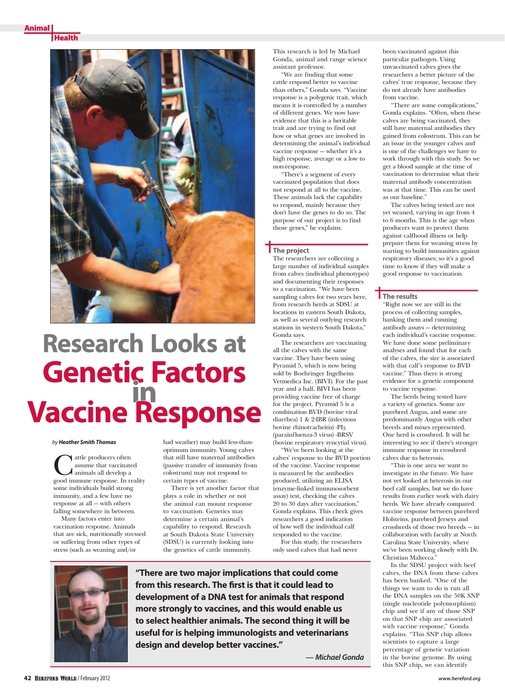**Health** 



# **Research Looks at Genetic Factors in Vaccine Response**

### *by Heather Smith Thomas*

If attle producers often assume that vaccinated animals all develop a good immune response. In reality some individuals build strong immunity, and a few have no response at all — with others falling somewhere in between.

Many factors enter into vaccination response. Animals that are sick, nutritionally stressed or suffering from other types of stress (such as weaning and/or

bad weather) may build less-thanoptimum immunity. Young calves that still have maternal antibodies (passive transfer of immunity from colostrum) may not respond to certain types of vaccine.

There is yet another factor that plays a role in whether or not the animal can mount response to vaccination. Genetics may determine a certain animal's capability to respond. Research at South Dakota State University (SDSU) is currently looking into the genetics of cattle immunity.

This research is led by Michael Gonda, animal and range science assistant professor.

"We are finding that some cattle respond better to vaccine than others," Gonda says. "Vaccine response is a polygenic trait, which means it is controlled by a number of different genes. We now have evidence that this is a heritable trait and are trying to find out how or what genes are involved in determining the animal's individual vaccine response — whether it's a high response, average or a low to non-response.

"There's a segment of every vaccinated population that does not respond at all to the vaccine. These animals lack the capability to respond, mainly because they don't have the genes to do so. The purpose of our project is to find those genes," he explains.

# **The project**

The researchers are collecting a large number of individual samples from calves (individual phenotypes) and documenting their responses to a vaccination. "We have been sampling calves for two years here, from research herds at SDSU at locations in eastern South Dakota, as well as several outlying research stations in western South Dakota," Gonda says.

The researchers are vaccinating all the calves with the same vaccine. They have been using Pyramid 5, which is now being sold by Boehringer Ingelheim Vetmedica Inc. (BIVI). For the past year and a half, BIVI has been providing vaccine free of charge for the project. Pyramid 5 is a combination BVD (bovine viral diarrhea) 1 & 2-IBR (infectious bovine rhinotracheitis) -PI3 (parainfluenza-3 virus) -BRSV (bovine respiratory syncytial virus).

"We've been looking at the calves' response to the BVD portion of the vaccine. Vaccine response is measured by the antibodies produced, utilizing an ELISA (enzyme-linked immunosorbent assay) test, checking the calves 20 to 30 days after vaccination," Gonda explains. This check gives researchers a good indication of how well the individual calf responded to the vaccine.

For this study, the researchers only used calves that had never



**"There are two major implications that could come from this research. The first is that it could lead to development of a DNA test for animals that respond more strongly to vaccines, and this would enable us to select healthier animals. The second thing it will be useful for is helping immunologists and veterinarians design and develop better vaccines."**

*— Michael Gonda* 

been vaccinated against this particular pathogen. Using unvaccinated calves gives the researchers a better picture of the calves' true response, because they do not already have antibodies from vaccine.

"There are some complications," Gonda explains. "Often, when these calves are being vaccinated, they still have maternal antibodies they gained from colostrum. This can be an issue in the younger calves and is one of the challenges we have to work through with this study. So we get a blood sample at the time of vaccination to determine what their maternal antibody concentration was at that time. This can be used as our baseline."

The calves being tested are not yet weaned, varying in age from 4 to 6 months. This is the age when producers want to protect them against calfhood illness or help prepare them for weaning stress by starting to build immunities against respiratory diseases; so it's a good time to know if they will make a good response to vaccination.

## **The results**

"Right now we are still in the process of collecting samples, banking them and running antibody assays — determining each individual's vaccine response. We have done some preliminary analyses and found that for each of the calves, the sire is associated with that calf's response to BVD vaccine." Thus there is strong evidence for a genetic component to vaccine response.

The herds being tested have a variety of genetics. Some are purebred Angus, and some are predominantly Angus with other breeds and mixes represented. One herd is crossbred. It will be interesting to see if there's stronger immune response in crossbred calves due to heterosis.

"This is one area we want to investigate in the future. We have not yet looked at heterosis in our beef calf samples, but we do have results from earlier work with dairy herds. We have already compared vaccine response between purebred Holsteins, purebred Jerseys and crossbreds of those two breeds — in collaboration with faculty at North Carolina State University, where we've been working closely with Dr. Christian Maltecca."

In the SDSU project with beef calves, the DNA from these calves has been banked. "One of the things we want to do is run all the DNA samples on the 50K SNP (single nucleotide polymorphism) chip and see if any of those SNP on that SNP chip are associated with vaccine response," Gonda explains. "This SNP chip allows scientists to capture a large percentage of genetic variation in the bovine genome. By using this SNP chip, we can identify